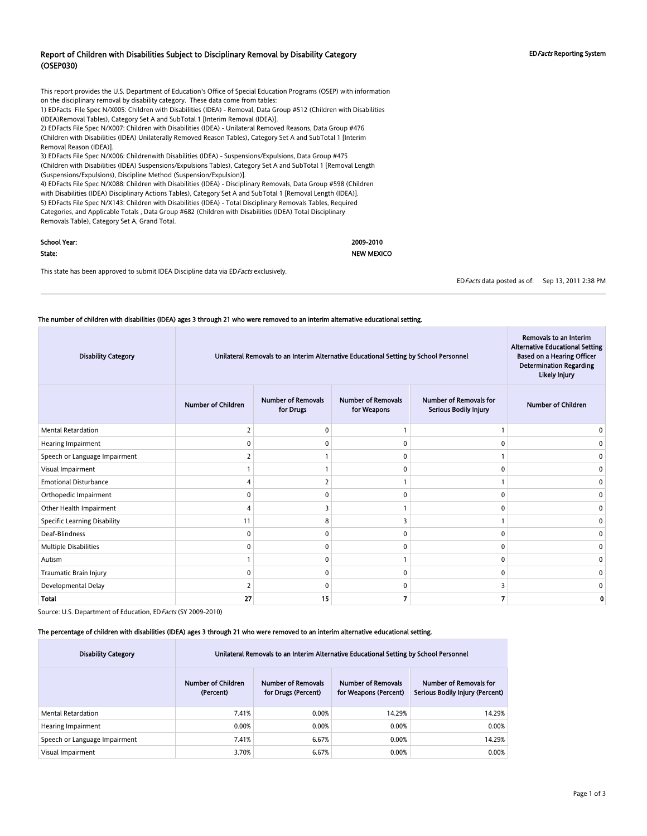#### Report of Children with Disabilities Subject to Disciplinary Removal by Disability Category (OSEP030)

EDFacts Reporting System

This report provides the U.S. Department of Education's Office of Special Education Programs (OSEP) with information on the disciplinary removal by disability category. These data come from tables: 1) EDFacts File Spec N/X005: Children with Disabilities (IDEA) - Removal, Data Group #512 (Children with Disabilities (IDEA)Removal Tables), Category Set A and SubTotal 1 [Interim Removal (IDEA)]. 2) EDFacts File Spec N/X007: Children with Disabilities (IDEA) - Unilateral Removed Reasons, Data Group #476 (Children with Disabilities (IDEA) Unilaterally Removed Reason Tables), Category Set A and SubTotal 1 [Interim Removal Reason (IDEA)]. 3) EDFacts File Spec N/X006: Childrenwith Disabilities (IDEA) - Suspensions/Expulsions, Data Group #475 (Children with Disabilities (IDEA) Suspensions/Expulsions Tables), Category Set A and SubTotal 1 [Removal Length (Suspensions/Expulsions), Discipline Method (Suspension/Expulsion)].

4) EDFacts File Spec N/X088: Children with Disabilities (IDEA) - Disciplinary Removals, Data Group #598 (Children with Disabilities (IDEA) Disciplinary Actions Tables), Category Set A and SubTotal 1 [Removal Length (IDEA)]. 5) EDFacts File Spec N/X143: Children with Disabilities (IDEA) - Total Disciplinary Removals Tables, Required Categories, and Applicable Totals , Data Group #682 (Children with Disabilities (IDEA) Total Disciplinary Removals Table), Category Set A, Grand Total.

| School Year: | 2009-2010         |
|--------------|-------------------|
| State:       | <b>NEW MEXICO</b> |

This state has been approved to submit IDEA Discipline data via ED Facts exclusively.

EDFacts data posted as of: Sep 13, 2011 2:38 PM

#### The number of children with disabilities (IDEA) ages 3 through 21 who were removed to an interim alternative educational setting.

| <b>Disability Category</b>          | Unilateral Removals to an Interim Alternative Educational Setting by School Personnel | Removals to an Interim<br><b>Alternative Educational Setting</b><br><b>Based on a Hearing Officer</b><br><b>Determination Regarding</b><br>Likely Injury |                                          |                                                        |                           |
|-------------------------------------|---------------------------------------------------------------------------------------|----------------------------------------------------------------------------------------------------------------------------------------------------------|------------------------------------------|--------------------------------------------------------|---------------------------|
|                                     | <b>Number of Children</b>                                                             | <b>Number of Removals</b><br>for Drugs                                                                                                                   | <b>Number of Removals</b><br>for Weapons | <b>Number of Removals for</b><br>Serious Bodily Injury | <b>Number of Children</b> |
| <b>Mental Retardation</b>           |                                                                                       | $\Omega$                                                                                                                                                 |                                          |                                                        |                           |
| Hearing Impairment                  |                                                                                       |                                                                                                                                                          | 0                                        |                                                        |                           |
| Speech or Language Impairment       |                                                                                       |                                                                                                                                                          | 0                                        |                                                        |                           |
| Visual Impairment                   |                                                                                       |                                                                                                                                                          | 0                                        | U                                                      |                           |
| <b>Emotional Disturbance</b>        |                                                                                       |                                                                                                                                                          |                                          |                                                        |                           |
| Orthopedic Impairment               | ŋ                                                                                     | $\Omega$                                                                                                                                                 | 0                                        | n                                                      |                           |
| Other Health Impairment             | $\Lambda$                                                                             | 3                                                                                                                                                        |                                          | $\Omega$                                               | n                         |
| <b>Specific Learning Disability</b> | 11                                                                                    | 8                                                                                                                                                        | 3                                        |                                                        | n                         |
| Deaf-Blindness                      | 0                                                                                     | $\mathbf 0$                                                                                                                                              | $\mathbf 0$                              | $\Omega$                                               | $\Omega$                  |
| Multiple Disabilities               | O                                                                                     | $\Omega$                                                                                                                                                 | 0                                        | n                                                      |                           |
| Autism                              |                                                                                       | $\Omega$                                                                                                                                                 |                                          | U                                                      |                           |
| Traumatic Brain Injury              | $\Omega$                                                                              | $\Omega$                                                                                                                                                 | 0                                        | 0                                                      |                           |
| Developmental Delay                 |                                                                                       | $\Omega$                                                                                                                                                 | 0                                        |                                                        |                           |
| <b>Total</b>                        | 27                                                                                    | 15                                                                                                                                                       | 7                                        |                                                        |                           |

Source: U.S. Department of Education, ED Facts (SY 2009-2010)

#### The percentage of children with disabilities (IDEA) ages 3 through 21 who were removed to an interim alternative educational setting.

| <b>Disability Category</b>    | Unilateral Removals to an Interim Alternative Educational Setting by School Personnel |                                                  |                                                    |                                                           |  |  |
|-------------------------------|---------------------------------------------------------------------------------------|--------------------------------------------------|----------------------------------------------------|-----------------------------------------------------------|--|--|
|                               | <b>Number of Children</b><br>(Percent)                                                | <b>Number of Removals</b><br>for Drugs (Percent) | <b>Number of Removals</b><br>for Weapons (Percent) | Number of Removals for<br>Serious Bodily Injury (Percent) |  |  |
| Mental Retardation            | 7.41%                                                                                 | 0.00%                                            | 14.29%                                             | 14.29%                                                    |  |  |
| Hearing Impairment            | 0.00%                                                                                 | 0.00%                                            | 0.00%                                              | 0.00%                                                     |  |  |
| Speech or Language Impairment | 7.41%                                                                                 | 6.67%                                            | 0.00%                                              | 14.29%                                                    |  |  |
| Visual Impairment             | 3.70%                                                                                 | 6.67%                                            | 0.00%                                              | 0.00%                                                     |  |  |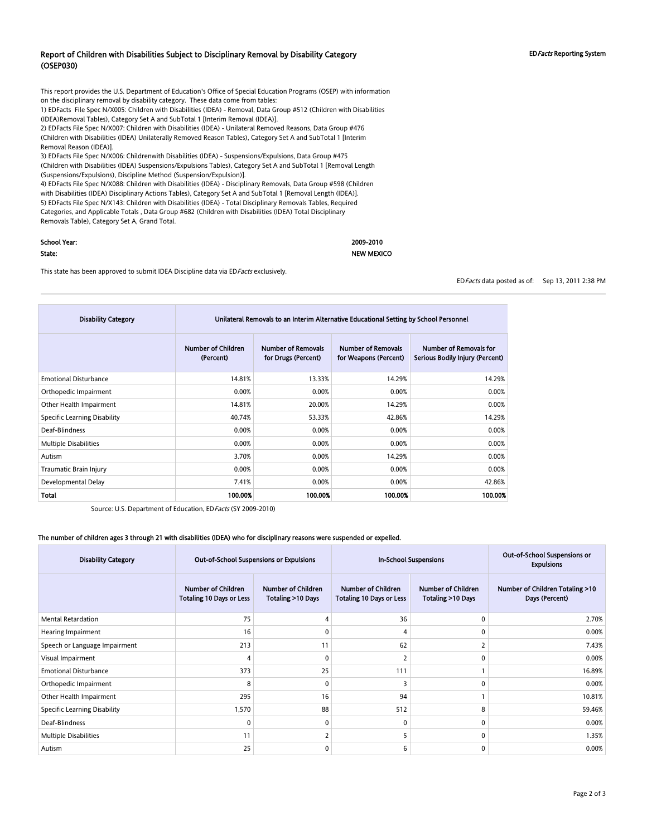#### Report of Children with Disabilities Subject to Disciplinary Removal by Disability Category (OSEP030)

This report provides the U.S. Department of Education's Office of Special Education Programs (OSEP) with information on the disciplinary removal by disability category. These data come from tables:

1) EDFacts File Spec N/X005: Children with Disabilities (IDEA) - Removal, Data Group #512 (Children with Disabilities (IDEA)Removal Tables), Category Set A and SubTotal 1 [Interim Removal (IDEA)].

2) EDFacts File Spec N/X007: Children with Disabilities (IDEA) - Unilateral Removed Reasons, Data Group #476 (Children with Disabilities (IDEA) Unilaterally Removed Reason Tables), Category Set A and SubTotal 1 [Interim Removal Reason (IDEA)].

3) EDFacts File Spec N/X006: Childrenwith Disabilities (IDEA) - Suspensions/Expulsions, Data Group #475 (Children with Disabilities (IDEA) Suspensions/Expulsions Tables), Category Set A and SubTotal 1 [Removal Length (Suspensions/Expulsions), Discipline Method (Suspension/Expulsion)].

4) EDFacts File Spec N/X088: Children with Disabilities (IDEA) - Disciplinary Removals, Data Group #598 (Children with Disabilities (IDEA) Disciplinary Actions Tables), Category Set A and SubTotal 1 [Removal Length (IDEA)]. 5) EDFacts File Spec N/X143: Children with Disabilities (IDEA) - Total Disciplinary Removals Tables, Required Categories, and Applicable Totals , Data Group #682 (Children with Disabilities (IDEA) Total Disciplinary Removals Table), Category Set A, Grand Total.

# School Year: 2009-2010

#### State: NEW MEXICO

This state has been approved to submit IDEA Discipline data via ED Facts exclusively.

EDFacts data posted as of: Sep 13, 2011 2:38 PM

| <b>Disability Category</b>          | Unilateral Removals to an Interim Alternative Educational Setting by School Personnel |                                                  |                                                    |                                                           |  |  |
|-------------------------------------|---------------------------------------------------------------------------------------|--------------------------------------------------|----------------------------------------------------|-----------------------------------------------------------|--|--|
|                                     | <b>Number of Children</b><br>(Percent)                                                | <b>Number of Removals</b><br>for Drugs (Percent) | <b>Number of Removals</b><br>for Weapons (Percent) | Number of Removals for<br>Serious Bodily Injury (Percent) |  |  |
| <b>Emotional Disturbance</b>        | 14.81%                                                                                | 13.33%                                           | 14.29%                                             | 14.29%                                                    |  |  |
| Orthopedic Impairment               | 0.00%                                                                                 | 0.00%                                            | 0.00%                                              | 0.00%                                                     |  |  |
| Other Health Impairment             | 14.81%                                                                                | 20.00%                                           | 14.29%                                             | 0.00%                                                     |  |  |
| <b>Specific Learning Disability</b> | 40.74%                                                                                | 53.33%                                           | 42.86%                                             | 14.29%                                                    |  |  |
| Deaf-Blindness                      | 0.00%                                                                                 | 0.00%                                            | 0.00%                                              | 0.00%                                                     |  |  |
| <b>Multiple Disabilities</b>        | 0.00%                                                                                 | 0.00%                                            | 0.00%                                              | 0.00%                                                     |  |  |
| Autism                              | 3.70%                                                                                 | 0.00%                                            | 14.29%                                             | 0.00%                                                     |  |  |
| Traumatic Brain Injury              | 0.00%                                                                                 | 0.00%                                            | 0.00%                                              | 0.00%                                                     |  |  |
| Developmental Delay                 | 0.00%<br>0.00%<br>7.41%                                                               |                                                  |                                                    |                                                           |  |  |
| <b>Total</b>                        | 100.00%                                                                               | 100.00%                                          | 100.00%                                            | 100.00%                                                   |  |  |

Source: U.S. Department of Education, ED Facts (SY 2009-2010)

#### The number of children ages 3 through 21 with disabilities (IDEA) who for disciplinary reasons were suspended or expelled.

| <b>Disability Category</b>    | Out-of-School Suspensions or Expulsions                      |                                         | <b>In-School Suspensions</b>                                 |                                                | Out-of-School Suspensions or<br><b>Expulsions</b> |
|-------------------------------|--------------------------------------------------------------|-----------------------------------------|--------------------------------------------------------------|------------------------------------------------|---------------------------------------------------|
|                               | <b>Number of Children</b><br><b>Totaling 10 Days or Less</b> | Number of Children<br>Totaling >10 Days | <b>Number of Children</b><br><b>Totaling 10 Days or Less</b> | <b>Number of Children</b><br>Totaling >10 Days | Number of Children Totaling >10<br>Days (Percent) |
| <b>Mental Retardation</b>     | 75                                                           |                                         | 36                                                           | $\Omega$                                       | 2.70%                                             |
| Hearing Impairment            | 16                                                           | 0                                       | 4                                                            | 0                                              | 0.00%                                             |
| Speech or Language Impairment | 213                                                          | 11                                      | 62                                                           |                                                | 7.43%                                             |
| Visual Impairment             | 4                                                            | 0                                       | $\overline{2}$                                               | 0                                              | 0.00%                                             |
| <b>Emotional Disturbance</b>  | 373                                                          | 25                                      | 111                                                          |                                                | 16.89%                                            |
| Orthopedic Impairment         | 8                                                            | $\Omega$                                | 3                                                            | $\Omega$                                       | 0.00%                                             |
| Other Health Impairment       | 295                                                          | 16                                      | 94                                                           |                                                | 10.81%                                            |
| Specific Learning Disability  | 1,570                                                        | 88                                      | 512                                                          | 8                                              | 59.46%                                            |
| Deaf-Blindness                | 0                                                            | $\Omega$                                | 0                                                            | 0                                              | 0.00%                                             |
| Multiple Disabilities         | 11                                                           |                                         | 5                                                            | 0                                              | 1.35%                                             |
| Autism                        | 25                                                           | $\Omega$                                | 6                                                            | $\Omega$                                       | 0.00%                                             |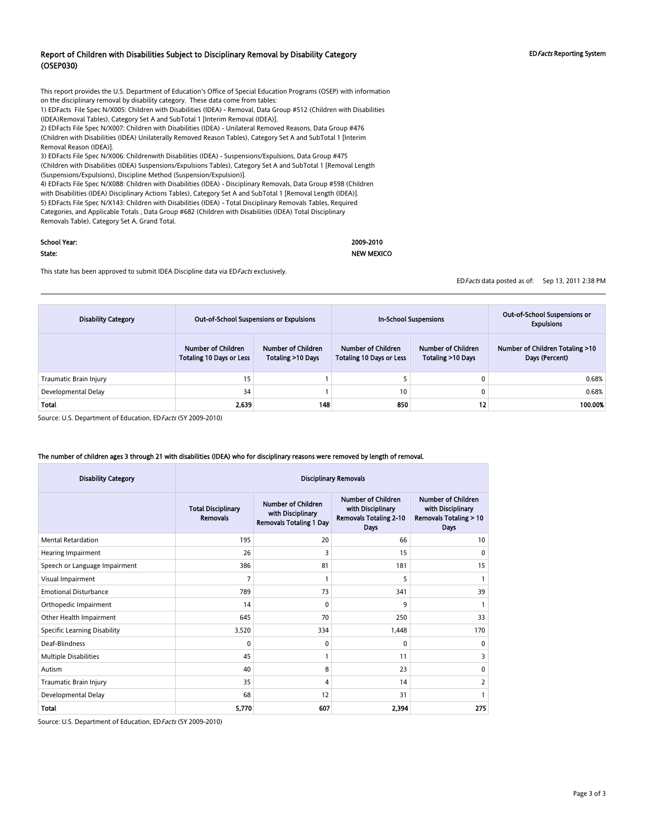#### Report of Children with Disabilities Subject to Disciplinary Removal by Disability Category (OSEP030)

This report provides the U.S. Department of Education's Office of Special Education Programs (OSEP) with information on the disciplinary removal by disability category. These data come from tables:

1) EDFacts File Spec N/X005: Children with Disabilities (IDEA) - Removal, Data Group #512 (Children with Disabilities (IDEA)Removal Tables), Category Set A and SubTotal 1 [Interim Removal (IDEA)].

2) EDFacts File Spec N/X007: Children with Disabilities (IDEA) - Unilateral Removed Reasons, Data Group #476 (Children with Disabilities (IDEA) Unilaterally Removed Reason Tables), Category Set A and SubTotal 1 [Interim Removal Reason (IDEA)].

3) EDFacts File Spec N/X006: Childrenwith Disabilities (IDEA) - Suspensions/Expulsions, Data Group #475 (Children with Disabilities (IDEA) Suspensions/Expulsions Tables), Category Set A and SubTotal 1 [Removal Length (Suspensions/Expulsions), Discipline Method (Suspension/Expulsion)].

4) EDFacts File Spec N/X088: Children with Disabilities (IDEA) - Disciplinary Removals, Data Group #598 (Children with Disabilities (IDEA) Disciplinary Actions Tables), Category Set A and SubTotal 1 [Removal Length (IDEA)]. 5) EDFacts File Spec N/X143: Children with Disabilities (IDEA) - Total Disciplinary Removals Tables, Required Categories, and Applicable Totals , Data Group #682 (Children with Disabilities (IDEA) Total Disciplinary Removals Table), Category Set A, Grand Total.

| School Year: | 2009-2010         |
|--------------|-------------------|
| State:       | <b>NEW MEXICO</b> |

This state has been approved to submit IDEA Discipline data via ED Facts exclusively.

EDFacts data posted as of: Sep 13, 2011 2:38 PM

| <b>Disability Category</b> | <b>Out-of-School Suspensions or Expulsions</b>        |                                                   |                                                       | <b>In-School Suspensions</b>            | Out-of-School Suspensions or<br><b>Expulsions</b> |
|----------------------------|-------------------------------------------------------|---------------------------------------------------|-------------------------------------------------------|-----------------------------------------|---------------------------------------------------|
|                            | Number of Children<br><b>Totaling 10 Days or Less</b> | Number of Children<br><b>Totaling &gt;10 Days</b> | Number of Children<br><b>Totaling 10 Days or Less</b> | Number of Children<br>Totaling >10 Days | Number of Children Totaling >10<br>Days (Percent) |
| Traumatic Brain Injury     | 15                                                    |                                                   |                                                       |                                         | 0.68%                                             |
| Developmental Delay        | 34                                                    |                                                   | 10 <sup>°</sup>                                       | C                                       | 0.68%                                             |
| <b>Total</b>               | 2,639                                                 | 148                                               | 850                                                   | 12                                      | 100.00%                                           |

Source: U.S. Department of Education, ED Facts (SY 2009-2010)

#### The number of children ages 3 through 21 with disabilities (IDEA) who for disciplinary reasons were removed by length of removal.

| <b>Disability Category</b>          | <b>Disciplinary Removals</b>                 |                                                                                  |                                                                                                |                                                                                                   |  |  |  |
|-------------------------------------|----------------------------------------------|----------------------------------------------------------------------------------|------------------------------------------------------------------------------------------------|---------------------------------------------------------------------------------------------------|--|--|--|
|                                     | <b>Total Disciplinary</b><br><b>Removals</b> | <b>Number of Children</b><br>with Disciplinary<br><b>Removals Totaling 1 Day</b> | <b>Number of Children</b><br>with Disciplinary<br><b>Removals Totaling 2-10</b><br><b>Days</b> | <b>Number of Children</b><br>with Disciplinary<br><b>Removals Totaling &gt; 10</b><br><b>Days</b> |  |  |  |
| <b>Mental Retardation</b>           | 195                                          | 20                                                                               | 66                                                                                             | 10                                                                                                |  |  |  |
| Hearing Impairment                  | 26                                           | 3                                                                                | 15                                                                                             | $\mathbf{0}$                                                                                      |  |  |  |
| Speech or Language Impairment       | 386                                          | 81                                                                               | 181                                                                                            | 15                                                                                                |  |  |  |
| Visual Impairment                   | 7                                            |                                                                                  | 5                                                                                              |                                                                                                   |  |  |  |
| <b>Emotional Disturbance</b>        | 789                                          | 73                                                                               | 341                                                                                            | 39                                                                                                |  |  |  |
| Orthopedic Impairment               | 14                                           | $\Omega$                                                                         | 9                                                                                              |                                                                                                   |  |  |  |
| Other Health Impairment             | 645                                          | 70                                                                               | 250                                                                                            | 33                                                                                                |  |  |  |
| <b>Specific Learning Disability</b> | 3,520                                        | 334                                                                              | 1,448                                                                                          | 170                                                                                               |  |  |  |
| Deaf-Blindness                      | 0                                            | $\Omega$                                                                         | $\Omega$                                                                                       | 0                                                                                                 |  |  |  |
| Multiple Disabilities               | 45                                           |                                                                                  | 11                                                                                             | 3                                                                                                 |  |  |  |
| Autism                              | 40                                           | 8                                                                                | 23                                                                                             | 0                                                                                                 |  |  |  |
| Traumatic Brain Injury              | 35                                           | 4                                                                                | 14                                                                                             | $\overline{2}$                                                                                    |  |  |  |
| Developmental Delay                 | 68                                           | 12                                                                               | 31                                                                                             | 1                                                                                                 |  |  |  |
| <b>Total</b>                        | 5,770                                        | 607                                                                              | 2,394                                                                                          | 275                                                                                               |  |  |  |

Source: U.S. Department of Education, EDFacts (SY 2009-2010)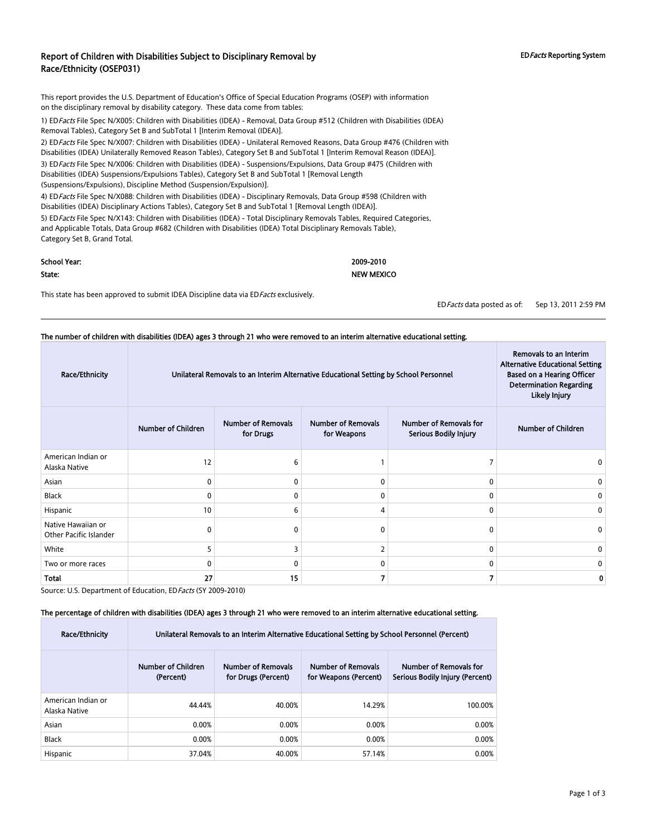### Report of Children with Disabilities Subject to Disciplinary Removal by Race/Ethnicity (OSEP031)

This report provides the U.S. Department of Education's Office of Special Education Programs (OSEP) with information on the disciplinary removal by disability category. These data come from tables:

1) EDFacts File Spec N/X005: Children with Disabilities (IDEA) - Removal, Data Group #512 (Children with Disabilities (IDEA) Removal Tables), Category Set B and SubTotal 1 [Interim Removal (IDEA)].

2) ED Facts File Spec N/X007: Children with Disabilities (IDEA) - Unilateral Removed Reasons, Data Group #476 (Children with Disabilities (IDEA) Unilaterally Removed Reason Tables), Category Set B and SubTotal 1 [Interim Removal Reason (IDEA)]. 3) EDFacts File Spec N/X006: Children with Disabilities (IDEA) - Suspensions/Expulsions, Data Group #475 (Children with Disabilities (IDEA) Suspensions/Expulsions Tables), Category Set B and SubTotal 1 [Removal Length (Suspensions/Expulsions), Discipline Method (Suspension/Expulsion)].

4) EDFacts File Spec N/X088: Children with Disabilities (IDEA) - Disciplinary Removals, Data Group #598 (Children with Disabilities (IDEA) Disciplinary Actions Tables), Category Set B and SubTotal 1 [Removal Length (IDEA)].

5) ED Facts File Spec N/X143: Children with Disabilities (IDEA) - Total Disciplinary Removals Tables, Required Categories, and Applicable Totals, Data Group #682 (Children with Disabilities (IDEA) Total Disciplinary Removals Table), Category Set B, Grand Total.

| School Year: | 2009-2010         |
|--------------|-------------------|
| State:       | <b>NEW MEXICO</b> |

This state has been approved to submit IDEA Discipline data via ED Facts exclusively.

EDFacts data posted as of: Sep 13, 2011 2:59 PM

| The number of children with disabilities (IDEA) ages 3 through 21 who were removed to an interim alternative educational setting. |                           |                                                                                                                                                                      |                                          |                                                        |                           |  |  |  |
|-----------------------------------------------------------------------------------------------------------------------------------|---------------------------|----------------------------------------------------------------------------------------------------------------------------------------------------------------------|------------------------------------------|--------------------------------------------------------|---------------------------|--|--|--|
| Race/Ethnicity                                                                                                                    |                           | <b>Alternative Educational Setting</b><br>Unilateral Removals to an Interim Alternative Educational Setting by School Personnel<br><b>Based on a Hearing Officer</b> |                                          |                                                        |                           |  |  |  |
|                                                                                                                                   | <b>Number of Children</b> | <b>Number of Removals</b><br>for Drugs                                                                                                                               | <b>Number of Removals</b><br>for Weapons | Number of Removals for<br><b>Serious Bodily Injury</b> | <b>Number of Children</b> |  |  |  |
| American Indian or<br>Alaska Native                                                                                               | 12                        | 6                                                                                                                                                                    |                                          |                                                        |                           |  |  |  |
| Asian                                                                                                                             | 0                         | 0                                                                                                                                                                    | $\mathbf{0}$                             | 0                                                      | 0                         |  |  |  |
| <b>Black</b>                                                                                                                      | 0                         | 0                                                                                                                                                                    | 0                                        | 0                                                      | 0                         |  |  |  |
| Hispanic                                                                                                                          | 10                        | 6                                                                                                                                                                    | 4                                        | $\Omega$                                               | 0                         |  |  |  |
| Native Hawaiian or<br>Other Pacific Islander                                                                                      | 0                         | $\mathbf{0}$                                                                                                                                                         | $\Omega$                                 | $\Omega$                                               | 0                         |  |  |  |
| White                                                                                                                             | 5                         | 3                                                                                                                                                                    | $\mathcal{P}$                            | 0                                                      | 0                         |  |  |  |
| Two or more races                                                                                                                 | $\mathbf{0}$              | $\Omega$                                                                                                                                                             | 0                                        | $\Omega$                                               | 0                         |  |  |  |
| <b>Total</b>                                                                                                                      | 27                        | 15                                                                                                                                                                   |                                          |                                                        | O                         |  |  |  |

Source: U.S. Department of Education, ED Facts (SY 2009-2010)

#### The percentage of children with disabilities (IDEA) ages 3 through 21 who were removed to an interim alternative educational setting.

| Race/Ethnicity                      | Unilateral Removals to an Interim Alternative Educational Setting by School Personnel (Percent) |                                                           |        |         |  |  |  |  |
|-------------------------------------|-------------------------------------------------------------------------------------------------|-----------------------------------------------------------|--------|---------|--|--|--|--|
|                                     | Number of Children<br>(Percent)                                                                 | Number of Removals for<br>Serious Bodily Injury (Percent) |        |         |  |  |  |  |
| American Indian or<br>Alaska Native | 44.44%                                                                                          | 40.00%                                                    | 14.29% | 100.00% |  |  |  |  |
| Asian                               | 0.00%                                                                                           | 0.00%                                                     | 0.00%  | 0.00%   |  |  |  |  |
| <b>Black</b>                        | 0.00%                                                                                           | 0.00%                                                     | 0.00%  | 0.00%   |  |  |  |  |
| Hispanic                            | 37.04%                                                                                          | 40.00%                                                    | 57.14% | 0.00%   |  |  |  |  |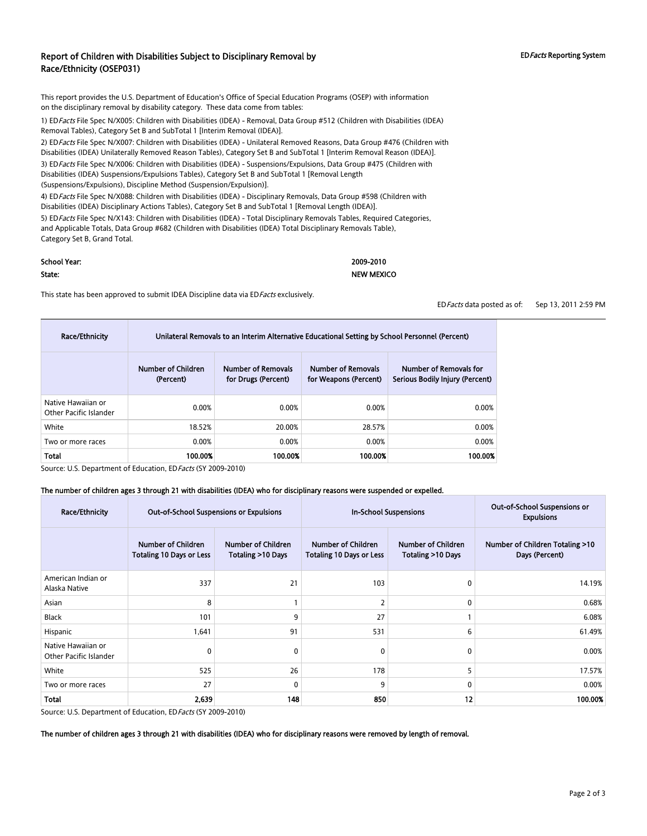### Report of Children with Disabilities Subject to Disciplinary Removal by Race/Ethnicity (OSEP031)

This report provides the U.S. Department of Education's Office of Special Education Programs (OSEP) with information on the disciplinary removal by disability category. These data come from tables:

1) ED Facts File Spec N/X005: Children with Disabilities (IDEA) - Removal, Data Group #512 (Children with Disabilities (IDEA) Removal Tables), Category Set B and SubTotal 1 [Interim Removal (IDEA)].

2) ED Facts File Spec N/X007: Children with Disabilities (IDEA) - Unilateral Removed Reasons, Data Group #476 (Children with Disabilities (IDEA) Unilaterally Removed Reason Tables), Category Set B and SubTotal 1 [Interim Removal Reason (IDEA)]. 3) ED Facts File Spec N/X006: Children with Disabilities (IDEA) - Suspensions/Expulsions, Data Group #475 (Children with Disabilities (IDEA) Suspensions/Expulsions Tables), Category Set B and SubTotal 1 [Removal Length

(Suspensions/Expulsions), Discipline Method (Suspension/Expulsion)].

4) EDFacts File Spec N/X088: Children with Disabilities (IDEA) - Disciplinary Removals, Data Group #598 (Children with Disabilities (IDEA) Disciplinary Actions Tables), Category Set B and SubTotal 1 [Removal Length (IDEA)].

5) ED Facts File Spec N/X143: Children with Disabilities (IDEA) - Total Disciplinary Removals Tables, Required Categories, and Applicable Totals, Data Group #682 (Children with Disabilities (IDEA) Total Disciplinary Removals Table), Category Set B, Grand Total.

#### School Year: 2009-2010

#### State: NEW MEXICO

This state has been approved to submit IDEA Discipline data via ED Facts exclusively.

EDFacts data posted as of: Sep 13, 2011 2:59 PM

| <b>Race/Ethnicity</b>                        | Unilateral Removals to an Interim Alternative Educational Setting by School Personnel (Percent) |                                                  |                                                    |                                                           |  |  |
|----------------------------------------------|-------------------------------------------------------------------------------------------------|--------------------------------------------------|----------------------------------------------------|-----------------------------------------------------------|--|--|
|                                              | Number of Children<br>(Percent)                                                                 | <b>Number of Removals</b><br>for Drugs (Percent) | <b>Number of Removals</b><br>for Weapons (Percent) | Number of Removals for<br>Serious Bodily Injury (Percent) |  |  |
| Native Hawaiian or<br>Other Pacific Islander | 0.00%                                                                                           | 0.00%                                            | 0.00%                                              | 0.00%                                                     |  |  |
| White                                        | 18.52%                                                                                          | 20.00%                                           | 28.57%                                             | 0.00%                                                     |  |  |
| Two or more races                            | 0.00%                                                                                           | 0.00%                                            | 0.00%                                              | 0.00%                                                     |  |  |
| Total                                        | 100.00%                                                                                         | 100.00%                                          | 100.00%                                            | 100.00%                                                   |  |  |

Source: U.S. Department of Education, ED Facts (SY 2009-2010)

#### The number of children ages 3 through 21 with disabilities (IDEA) who for disciplinary reasons were suspended or expelled.

| <b>Race/Ethnicity</b>                        | <b>Out-of-School Suspensions or Expulsions</b>        |                                         | <b>In-School Suspensions</b>                   |                                         | Out-of-School Suspensions or<br><b>Expulsions</b> |
|----------------------------------------------|-------------------------------------------------------|-----------------------------------------|------------------------------------------------|-----------------------------------------|---------------------------------------------------|
|                                              | Number of Children<br><b>Totaling 10 Days or Less</b> | Number of Children<br>Totaling >10 Days | Number of Children<br>Totaling 10 Days or Less | Number of Children<br>Totaling >10 Days | Number of Children Totaling >10<br>Days (Percent) |
| American Indian or<br>Alaska Native          | 337                                                   | 21                                      | 103                                            | 0                                       | 14.19%                                            |
| Asian                                        | 8                                                     |                                         | $\overline{2}$                                 | $\Omega$                                | 0.68%                                             |
| Black                                        | 101                                                   | 9                                       | 27                                             |                                         | 6.08%                                             |
| Hispanic                                     | 1,641                                                 | 91                                      | 531                                            | 6                                       | 61.49%                                            |
| Native Hawaiian or<br>Other Pacific Islander | 0                                                     | $\mathbf{0}$                            | $\mathbf{0}$                                   | 0                                       | 0.00%                                             |
| White                                        | 525                                                   | 26                                      | 178                                            | 5                                       | 17.57%                                            |
| Two or more races                            | 27                                                    | $\mathbf{0}$                            | 9                                              | 0                                       | 0.00%                                             |
| Total                                        | 2,639                                                 | 148                                     | 850                                            | 12                                      | 100.00%                                           |

Source: U.S. Department of Education, ED Facts (SY 2009-2010)

The number of children ages 3 through 21 with disabilities (IDEA) who for disciplinary reasons were removed by length of removal.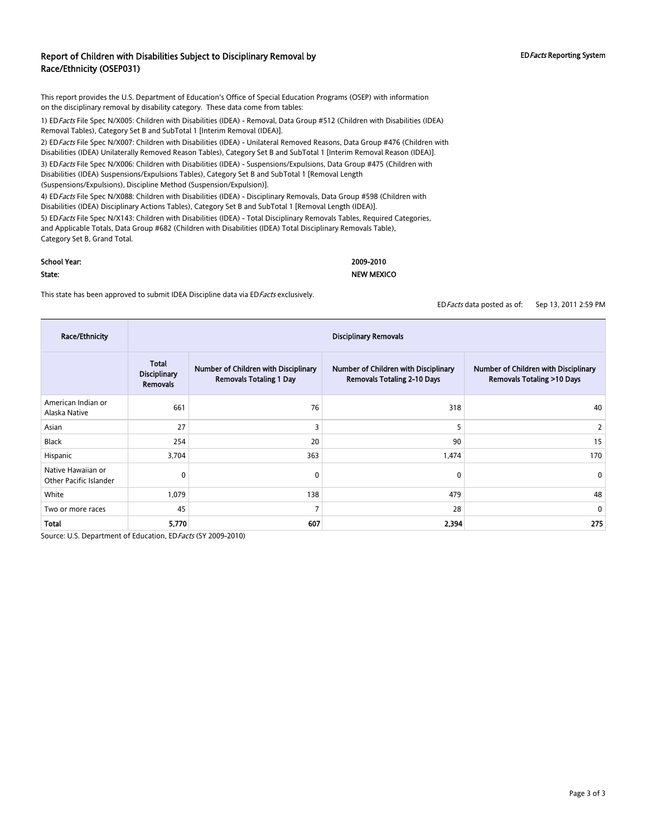## Report of Children with Disabilities Subject to Disciplinary Removal by Race/Ethnicity (OSEP031)

This report provides the U.S. Department of Education's Office of Special Education Programs (OSEP) with information on the disciplinary removal by disability category. These data come from tables:

1) EDFacts File Spec N/X005: Children with Disabilities (IDEA) - Removal, Data Group #512 (Children with Disabilities (IDEA) Removal Tables), Category Set B and SubTotal 1 [Interim Removal (IDEA)].

2) ED Facts File Spec N/X007: Children with Disabilities (IDEA) - Unilateral Removed Reasons, Data Group #476 (Children with Disabilities (IDEA) Unilaterally Removed Reason Tables), Category Set B and SubTotal 1 [Interim Removal Reason (IDEA)]. 3) ED Facts File Spec N/X006: Children with Disabilities (IDEA) - Suspensions/Expulsions, Data Group #475 (Children with Disabilities (IDEA) Suspensions/Expulsions Tables), Category Set B and SubTotal 1 [Removal Length

(Suspensions/Expulsions), Discipline Method (Suspension/Expulsion)].

4) EDFacts File Spec N/X088: Children with Disabilities (IDEA) - Disciplinary Removals, Data Group #598 (Children with Disabilities (IDEA) Disciplinary Actions Tables), Category Set B and SubTotal 1 [Removal Length (IDEA)].

5) ED Facts File Spec N/X143: Children with Disabilities (IDEA) - Total Disciplinary Removals Tables, Required Categories, and Applicable Totals, Data Group #682 (Children with Disabilities (IDEA) Total Disciplinary Removals Table), Category Set B, Grand Total.

#### School Year: 2009-2010

State: NEW MEXICO

#### This state has been approved to submit IDEA Discipline data via ED Facts exclusively.

EDFacts data posted as of: Sep 13, 2011 2:59 PM

| Race/Ethnicity                               | <b>Disciplinary Removals</b>                    |                                                                        |                                                                            |                                                                              |  |  |
|----------------------------------------------|-------------------------------------------------|------------------------------------------------------------------------|----------------------------------------------------------------------------|------------------------------------------------------------------------------|--|--|
|                                              | Total<br><b>Disciplinary</b><br><b>Removals</b> | Number of Children with Disciplinary<br><b>Removals Totaling 1 Day</b> | Number of Children with Disciplinary<br><b>Removals Totaling 2-10 Days</b> | Number of Children with Disciplinary<br><b>Removals Totaling &gt;10 Days</b> |  |  |
| American Indian or<br>Alaska Native          | 661                                             | 76                                                                     | 318                                                                        | 40                                                                           |  |  |
| Asian                                        | 27                                              | 3                                                                      | 5                                                                          | 2                                                                            |  |  |
| Black                                        | 254                                             | 20                                                                     | 90                                                                         | 15                                                                           |  |  |
| Hispanic                                     | 3,704                                           | 363                                                                    | 1,474                                                                      | 170                                                                          |  |  |
| Native Hawaiian or<br>Other Pacific Islander | $\mathbf 0$                                     | 0                                                                      | 0                                                                          | $\mathbf 0$                                                                  |  |  |
| White                                        | 1,079                                           | 138                                                                    | 479                                                                        | 48                                                                           |  |  |
| Two or more races                            | 45                                              | $\overline{7}$                                                         | 28                                                                         | 0                                                                            |  |  |
| Total                                        | 5,770                                           | 607                                                                    | 2,394                                                                      | 275                                                                          |  |  |

Source: U.S. Department of Education, ED Facts (SY 2009-2010)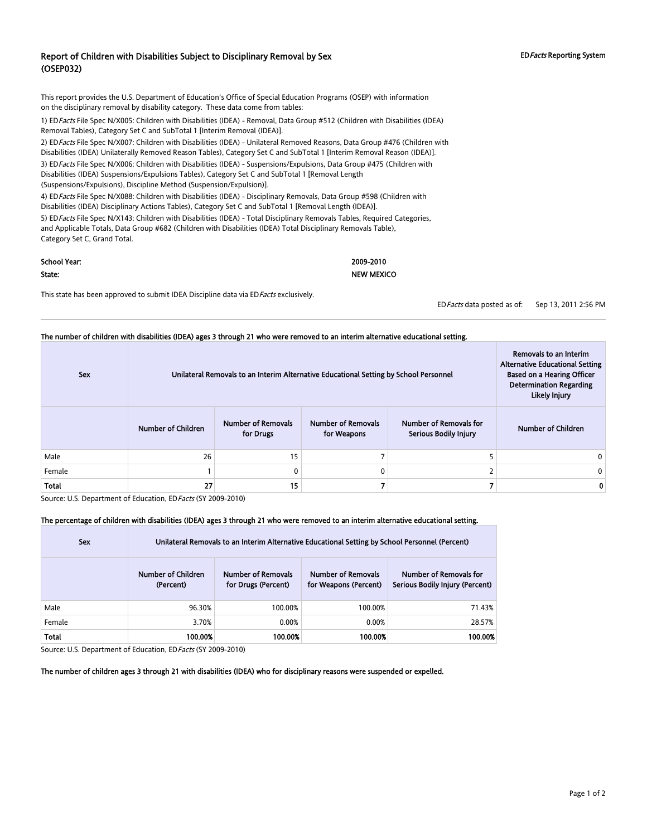### Report of Children with Disabilities Subject to Disciplinary Removal by Sex (OSEP032)

This report provides the U.S. Department of Education's Office of Special Education Programs (OSEP) with information on the disciplinary removal by disability category. These data come from tables:

1) ED Facts File Spec N/X005: Children with Disabilities (IDEA) - Removal, Data Group #512 (Children with Disabilities (IDEA) Removal Tables), Category Set C and SubTotal 1 [Interim Removal (IDEA)].

2) ED Facts File Spec N/X007: Children with Disabilities (IDEA) - Unilateral Removed Reasons, Data Group #476 (Children with Disabilities (IDEA) Unilaterally Removed Reason Tables), Category Set C and SubTotal 1 [Interim Removal Reason (IDEA)]. 3) EDFacts File Spec N/X006: Children with Disabilities (IDEA) - Suspensions/Expulsions, Data Group #475 (Children with

Disabilities (IDEA) Suspensions/Expulsions Tables), Category Set C and SubTotal 1 [Removal Length (Suspensions/Expulsions), Discipline Method (Suspension/Expulsion)].

4) EDFacts File Spec N/X088: Children with Disabilities (IDEA) - Disciplinary Removals, Data Group #598 (Children with Disabilities (IDEA) Disciplinary Actions Tables), Category Set C and SubTotal 1 [Removal Length (IDEA)].

5) ED Facts File Spec N/X143: Children with Disabilities (IDEA) - Total Disciplinary Removals Tables, Required Categories, and Applicable Totals, Data Group #682 (Children with Disabilities (IDEA) Total Disciplinary Removals Table), Category Set C, Grand Total.

| School Year: | 2009-2010         |
|--------------|-------------------|
| State:       | <b>NEW MEXICO</b> |

This state has been approved to submit IDEA Discipline data via ED Facts exclusively.

EDFacts data posted as of: Sep 13, 2011 2:56 PM

| <b>Sex</b>   |                    | The number of children with disabilities (IDEA) ages 3 through 21 who were removed to an interim alternative educational setting.<br>Removals to an Interim<br><b>Alternative Educational Setting</b><br>Unilateral Removals to an Interim Alternative Educational Setting by School Personnel<br><b>Based on a Hearing Officer</b><br><b>Determination Regarding</b><br><b>Likely Injury</b> |                                          |                                                 |                           |  |
|--------------|--------------------|-----------------------------------------------------------------------------------------------------------------------------------------------------------------------------------------------------------------------------------------------------------------------------------------------------------------------------------------------------------------------------------------------|------------------------------------------|-------------------------------------------------|---------------------------|--|
|              | Number of Children | <b>Number of Removals</b><br>for Drugs                                                                                                                                                                                                                                                                                                                                                        | <b>Number of Removals</b><br>for Weapons | Number of Removals for<br>Serious Bodily Injury | <b>Number of Children</b> |  |
| Male         | 26                 | 15                                                                                                                                                                                                                                                                                                                                                                                            |                                          |                                                 | 0                         |  |
| Female       |                    |                                                                                                                                                                                                                                                                                                                                                                                               |                                          |                                                 | 0                         |  |
| <b>Total</b> | 27                 | 15                                                                                                                                                                                                                                                                                                                                                                                            |                                          |                                                 | Ω                         |  |

Source: U.S. Department of Education, ED Facts (SY 2009-2010)

#### The percentage of children with disabilities (IDEA) ages 3 through 21 who were removed to an interim alternative educational setting.

| <b>Sex</b> | Unilateral Removals to an Interim Alternative Educational Setting by School Personnel (Percent) |                                                  |                                                    |                                                           |  |  |  |
|------------|-------------------------------------------------------------------------------------------------|--------------------------------------------------|----------------------------------------------------|-----------------------------------------------------------|--|--|--|
|            | Number of Children<br>(Percent)                                                                 | <b>Number of Removals</b><br>for Drugs (Percent) | <b>Number of Removals</b><br>for Weapons (Percent) | Number of Removals for<br>Serious Bodily Injury (Percent) |  |  |  |
| Male       | 96.30%                                                                                          | 100.00%                                          | 100.00%                                            | 71.43%                                                    |  |  |  |
| Female     | 3.70%                                                                                           | 0.00%                                            | 0.00%                                              | 28.57%                                                    |  |  |  |
| Total      | 100.00%                                                                                         | 100.00%                                          | 100.00%                                            | 100.00%                                                   |  |  |  |

Source: U.S. Department of Education, ED Facts (SY 2009-2010)

The number of children ages 3 through 21 with disabilities (IDEA) who for disciplinary reasons were suspended or expelled.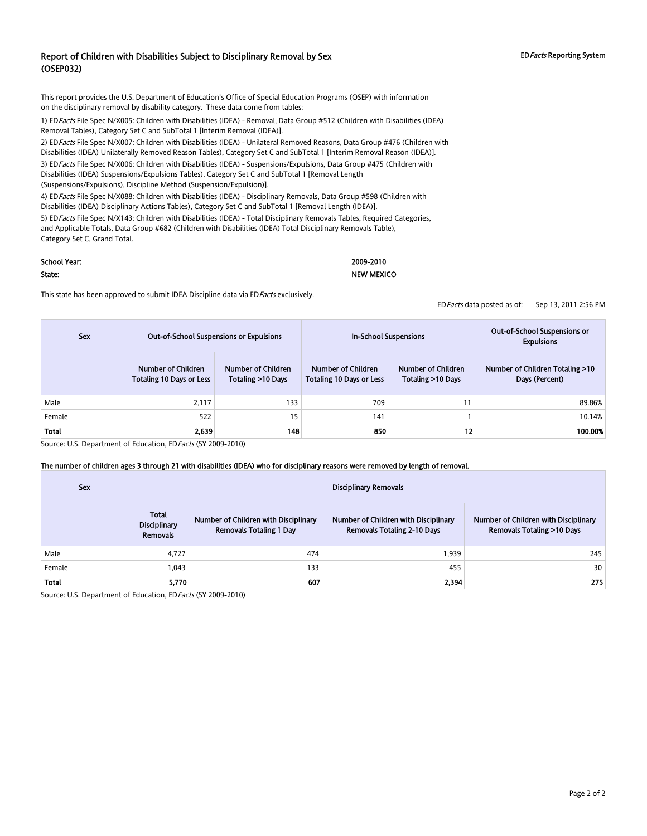## Report of Children with Disabilities Subject to Disciplinary Removal by Sex (OSEP032)

This report provides the U.S. Department of Education's Office of Special Education Programs (OSEP) with information on the disciplinary removal by disability category. These data come from tables:

1) EDFacts File Spec N/X005: Children with Disabilities (IDEA) - Removal, Data Group #512 (Children with Disabilities (IDEA) Removal Tables), Category Set C and SubTotal 1 [Interim Removal (IDEA)].

2) ED Facts File Spec N/X007: Children with Disabilities (IDEA) - Unilateral Removed Reasons, Data Group #476 (Children with Disabilities (IDEA) Unilaterally Removed Reason Tables), Category Set C and SubTotal 1 [Interim Removal Reason (IDEA)]. 3) ED Facts File Spec N/X006: Children with Disabilities (IDEA) - Suspensions/Expulsions, Data Group #475 (Children with

Disabilities (IDEA) Suspensions/Expulsions Tables), Category Set C and SubTotal 1 [Removal Length (Suspensions/Expulsions), Discipline Method (Suspension/Expulsion)].

4) ED Facts File Spec N/X088: Children with Disabilities (IDEA) - Disciplinary Removals, Data Group #598 (Children with Disabilities (IDEA) Disciplinary Actions Tables), Category Set C and SubTotal 1 [Removal Length (IDEA)].

5) ED Facts File Spec N/X143: Children with Disabilities (IDEA) - Total Disciplinary Removals Tables, Required Categories, and Applicable Totals, Data Group #682 (Children with Disabilities (IDEA) Total Disciplinary Removals Table), Category Set C, Grand Total.

### School Year: 2009-2010

#### State: NEW MEXICO

This state has been approved to submit IDEA Discipline data via ED Facts exclusively.

EDFacts data posted as of: Sep 13, 2011 2:56 PM

| Sex    | <b>Out-of-School Suspensions or Expulsions</b>        |                                                | In-School Suspensions                                 |                                         | Out-of-School Suspensions or<br><b>Expulsions</b> |
|--------|-------------------------------------------------------|------------------------------------------------|-------------------------------------------------------|-----------------------------------------|---------------------------------------------------|
|        | Number of Children<br><b>Totaling 10 Days or Less</b> | <b>Number of Children</b><br>Totaling >10 Days | Number of Children<br><b>Totaling 10 Days or Less</b> | Number of Children<br>Totaling >10 Days | Number of Children Totaling >10<br>Days (Percent) |
| Male   | 2.117                                                 | 133                                            | 709                                                   | 11                                      | 89.86%                                            |
| Female | 522                                                   | 15                                             | 141                                                   |                                         | 10.14%                                            |
| Total  | 2,639                                                 | 148                                            | 850                                                   | 12                                      | 100.00%                                           |

Source: U.S. Department of Education, ED Facts (SY 2009-2010)

#### The number of children ages 3 through 21 with disabilities (IDEA) who for disciplinary reasons were removed by length of removal.

| <b>Sex</b> | <b>Disciplinary Removals</b>                    |                                                                        |                                                                            |                                                                              |  |
|------------|-------------------------------------------------|------------------------------------------------------------------------|----------------------------------------------------------------------------|------------------------------------------------------------------------------|--|
|            | <b>Total</b><br><b>Disciplinary</b><br>Removals | Number of Children with Disciplinary<br><b>Removals Totaling 1 Day</b> | Number of Children with Disciplinary<br><b>Removals Totaling 2-10 Days</b> | Number of Children with Disciplinary<br><b>Removals Totaling &gt;10 Days</b> |  |
| Male       | 4.727                                           | 474                                                                    | 1.939                                                                      | 245                                                                          |  |
| Female     | 1.043                                           | 133                                                                    | 455                                                                        | 30                                                                           |  |
| Total      | 5,770                                           | 607                                                                    | 2,394                                                                      | 275                                                                          |  |

Source: U.S. Department of Education, ED Facts (SY 2009-2010)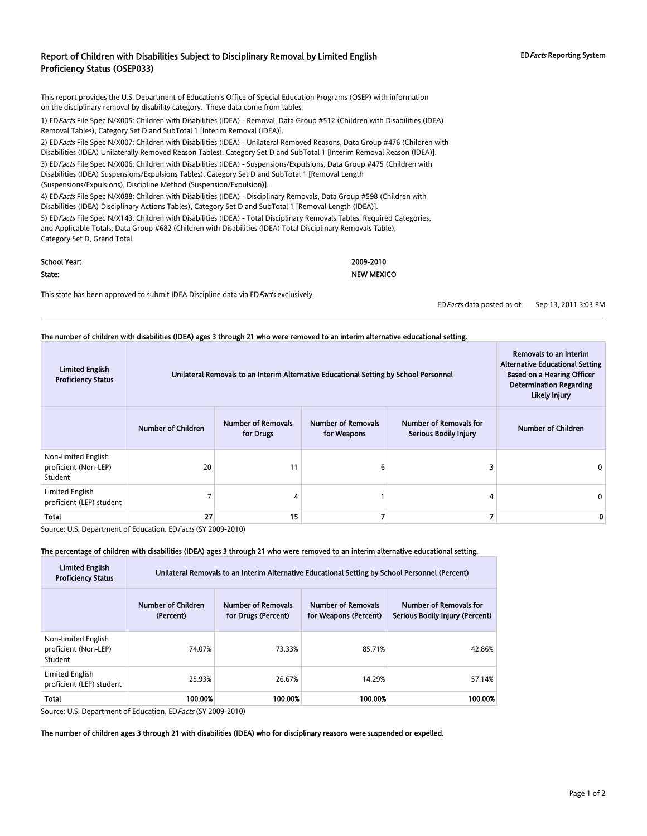#### Report of Children with Disabilities Subject to Disciplinary Removal by Limited English Proficiency Status (OSEP033)

This report provides the U.S. Department of Education's Office of Special Education Programs (OSEP) with information on the disciplinary removal by disability category. These data come from tables:

1) ED Facts File Spec N/X005: Children with Disabilities (IDEA) - Removal, Data Group #512 (Children with Disabilities (IDEA) Removal Tables), Category Set D and SubTotal 1 [Interim Removal (IDEA)].

2) ED Facts File Spec N/X007: Children with Disabilities (IDEA) - Unilateral Removed Reasons, Data Group #476 (Children with Disabilities (IDEA) Unilaterally Removed Reason Tables), Category Set D and SubTotal 1 [Interim Removal Reason (IDEA)]. 3) ED Facts File Spec N/X006: Children with Disabilities (IDEA) - Suspensions/Expulsions, Data Group #475 (Children with

Disabilities (IDEA) Suspensions/Expulsions Tables), Category Set D and SubTotal 1 [Removal Length (Suspensions/Expulsions), Discipline Method (Suspension/Expulsion)].

4) EDFacts File Spec N/X088: Children with Disabilities (IDEA) - Disciplinary Removals, Data Group #598 (Children with Disabilities (IDEA) Disciplinary Actions Tables), Category Set D and SubTotal 1 [Removal Length (IDEA)].

5) ED Facts File Spec N/X143: Children with Disabilities (IDEA) - Total Disciplinary Removals Tables, Required Categories, and Applicable Totals, Data Group #682 (Children with Disabilities (IDEA) Total Disciplinary Removals Table), Category Set D, Grand Total.

| School Year: | 2009-2010         |
|--------------|-------------------|
| State:       | <b>NEW MEXICO</b> |

This state has been approved to submit IDEA Discipline data via ED Facts exclusively.

EDFacts data posted as of: Sep 13, 2011 3:03 PM

|                                                        | The number of children with disabilities (IDEA) ages 3 through 21 who were removed to an interim alternative educational setting. |                                                                                                        |                                          |                                                                                                                                         |                    |
|--------------------------------------------------------|-----------------------------------------------------------------------------------------------------------------------------------|--------------------------------------------------------------------------------------------------------|------------------------------------------|-----------------------------------------------------------------------------------------------------------------------------------------|--------------------|
| <b>Limited English</b><br><b>Proficiency Status</b>    |                                                                                                                                   | Unilateral Removals to an Interim Alternative Educational Setting by School Personnel<br>Likely Injury |                                          | Removals to an Interim<br><b>Alternative Educational Setting</b><br><b>Based on a Hearing Officer</b><br><b>Determination Regarding</b> |                    |
|                                                        | <b>Number of Children</b>                                                                                                         | <b>Number of Removals</b><br>for Drugs                                                                 | <b>Number of Removals</b><br>for Weapons | Number of Removals for<br><b>Serious Bodily Injury</b>                                                                                  | Number of Children |
| Non-limited English<br>proficient (Non-LEP)<br>Student | 20                                                                                                                                | 11                                                                                                     |                                          |                                                                                                                                         |                    |
| Limited English<br>proficient (LEP) student            |                                                                                                                                   |                                                                                                        |                                          | 4                                                                                                                                       |                    |
| <b>Total</b>                                           | 27                                                                                                                                | 15                                                                                                     |                                          |                                                                                                                                         |                    |

Source: U.S. Department of Education, ED Facts (SY 2009-2010)

#### The percentage of children with disabilities (IDEA) ages 3 through 21 who were removed to an interim alternative educational setting.

| <b>Limited English</b><br><b>Proficiency Status</b>    | Unilateral Removals to an Interim Alternative Educational Setting by School Personnel (Percent) |                                                  |                                                    |                                                           |  |  |  |
|--------------------------------------------------------|-------------------------------------------------------------------------------------------------|--------------------------------------------------|----------------------------------------------------|-----------------------------------------------------------|--|--|--|
|                                                        | Number of Children<br>(Percent)                                                                 | <b>Number of Removals</b><br>for Drugs (Percent) | <b>Number of Removals</b><br>for Weapons (Percent) | Number of Removals for<br>Serious Bodily Injury (Percent) |  |  |  |
| Non-limited English<br>proficient (Non-LEP)<br>Student | 74.07%                                                                                          | 73.33%                                           | 85.71%                                             | 42.86%                                                    |  |  |  |
| Limited English<br>proficient (LEP) student            | 25.93%                                                                                          | 26.67%                                           | 14.29%                                             | 57.14%                                                    |  |  |  |
| <b>Total</b>                                           | 100.00%                                                                                         | 100.00%                                          | 100.00%                                            | 100.00%                                                   |  |  |  |

Source: U.S. Department of Education, EDFacts (SY 2009-2010)

#### The number of children ages 3 through 21 with disabilities (IDEA) who for disciplinary reasons were suspended or expelled.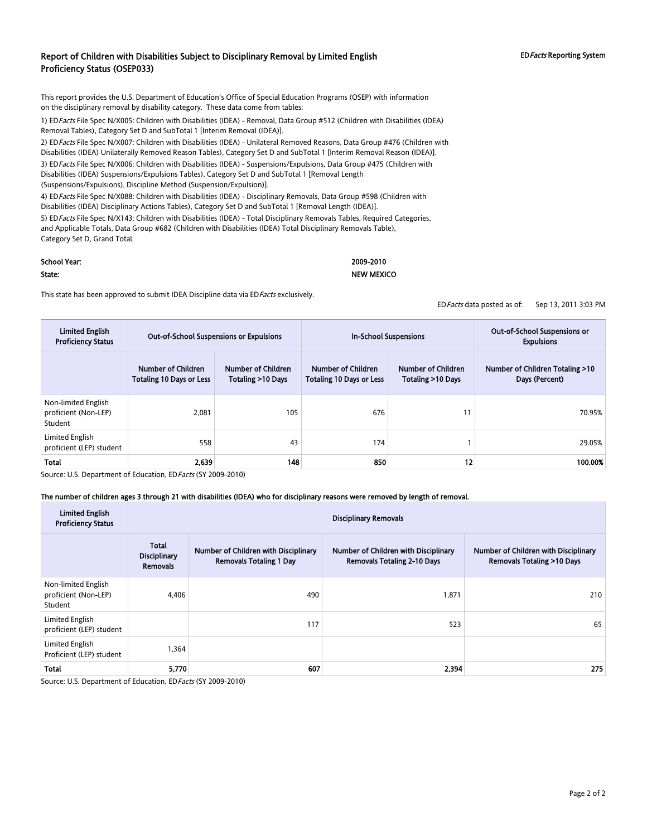#### Report of Children with Disabilities Subject to Disciplinary Removal by Limited English Proficiency Status (OSEP033)

This report provides the U.S. Department of Education's Office of Special Education Programs (OSEP) with information on the disciplinary removal by disability category. These data come from tables:

1) ED Facts File Spec N/X005: Children with Disabilities (IDEA) - Removal, Data Group #512 (Children with Disabilities (IDEA) Removal Tables), Category Set D and SubTotal 1 [Interim Removal (IDEA)].

2) ED Facts File Spec N/X007: Children with Disabilities (IDEA) - Unilateral Removed Reasons, Data Group #476 (Children with Disabilities (IDEA) Unilaterally Removed Reason Tables), Category Set D and SubTotal 1 [Interim Removal Reason (IDEA)].

3) ED Facts File Spec N/X006: Children with Disabilities (IDEA) - Suspensions/Expulsions, Data Group #475 (Children with Disabilities (IDEA) Suspensions/Expulsions Tables), Category Set D and SubTotal 1 [Removal Length

(Suspensions/Expulsions), Discipline Method (Suspension/Expulsion)].

4) EDFacts File Spec N/X088: Children with Disabilities (IDEA) - Disciplinary Removals, Data Group #598 (Children with Disabilities (IDEA) Disciplinary Actions Tables), Category Set D and SubTotal 1 [Removal Length (IDEA)].

5) ED Facts File Spec N/X143: Children with Disabilities (IDEA) - Total Disciplinary Removals Tables, Required Categories, and Applicable Totals, Data Group #682 (Children with Disabilities (IDEA) Total Disciplinary Removals Table), Category Set D, Grand Total.

#### School Year: 2009-2010

#### State: NEW MEXICO

This state has been approved to submit IDEA Discipline data via ED Facts exclusively.

EDFacts data posted as of: Sep 13, 2011 3:03 PM

| <b>Limited English</b><br><b>Proficiency Status</b>    | <b>Out-of-School Suspensions or Expulsions</b>        |                                         | <b>In-School Suspensions</b>                          |                                         | Out-of-School Suspensions or<br><b>Expulsions</b> |
|--------------------------------------------------------|-------------------------------------------------------|-----------------------------------------|-------------------------------------------------------|-----------------------------------------|---------------------------------------------------|
|                                                        | Number of Children<br><b>Totaling 10 Days or Less</b> | Number of Children<br>Totaling >10 Days | Number of Children<br><b>Totaling 10 Days or Less</b> | Number of Children<br>Totaling >10 Days | Number of Children Totaling >10<br>Days (Percent) |
| Non-limited English<br>proficient (Non-LEP)<br>Student | 2.081                                                 | 105                                     | 676                                                   | 11                                      | 70.95%                                            |
| Limited English<br>proficient (LEP) student            | 558                                                   | 43                                      | 174                                                   |                                         | 29.05%                                            |
| <b>Total</b>                                           | 2.639                                                 | 148                                     | 850                                                   | 12                                      | 100.00%                                           |

Source: U.S. Department of Education, ED Facts (SY 2009-2010)

#### The number of children ages 3 through 21 with disabilities (IDEA) who for disciplinary reasons were removed by length of removal.

| <b>Limited English</b><br><b>Proficiency Status</b>    |                                                 | <b>Disciplinary Removals</b>                                           |                                                                            |                                                                              |  |  |  |
|--------------------------------------------------------|-------------------------------------------------|------------------------------------------------------------------------|----------------------------------------------------------------------------|------------------------------------------------------------------------------|--|--|--|
|                                                        | Total<br><b>Disciplinary</b><br><b>Removals</b> | Number of Children with Disciplinary<br><b>Removals Totaling 1 Day</b> | Number of Children with Disciplinary<br><b>Removals Totaling 2-10 Days</b> | Number of Children with Disciplinary<br><b>Removals Totaling &gt;10 Days</b> |  |  |  |
| Non-limited English<br>proficient (Non-LEP)<br>Student | 4.406                                           | 490                                                                    | 1,871                                                                      | 210                                                                          |  |  |  |
| Limited English<br>proficient (LEP) student            |                                                 | 117                                                                    | 523                                                                        | 65                                                                           |  |  |  |
| Limited English<br>Proficient (LEP) student            | 1,364                                           |                                                                        |                                                                            |                                                                              |  |  |  |
| Total                                                  | 5,770                                           | 607                                                                    | 2,394                                                                      | 275                                                                          |  |  |  |

Source: U.S. Department of Education, EDFacts (SY 2009-2010)